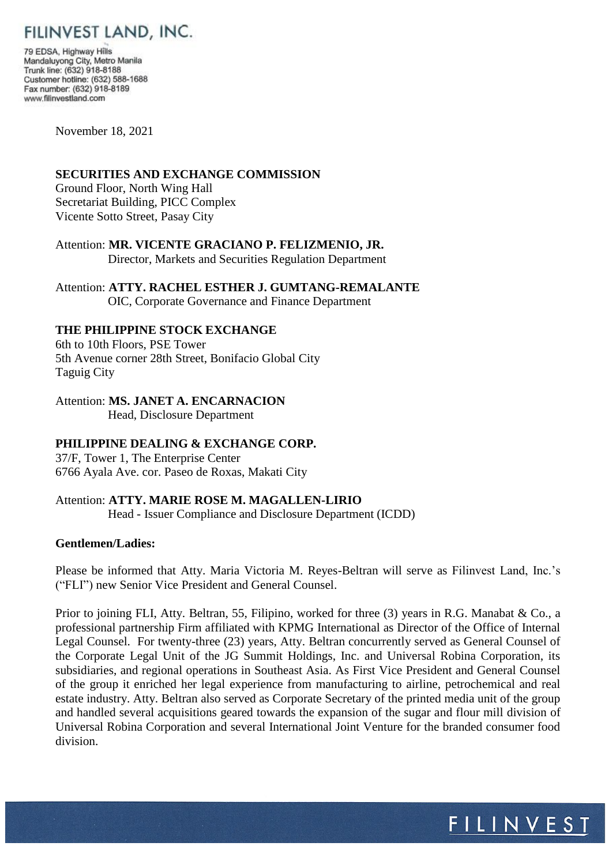# FILINVEST LAND, INC.

79 EDSA, Highway Hills Mandaluyong City, Metro Manila Trunk line: (632) 918-8188 Customer hotline: (632) 588-1688 Fax number: (632) 918-8189 www.filinvestland.com

November 18, 2021

### **SECURITIES AND EXCHANGE COMMISSION**

Ground Floor, North Wing Hall Secretariat Building, PICC Complex Vicente Sotto Street, Pasay City

Attention: **MR. VICENTE GRACIANO P. FELIZMENIO, JR.** Director, Markets and Securities Regulation Department

## Attention: **ATTY. RACHEL ESTHER J. GUMTANG-REMALANTE**

OIC, Corporate Governance and Finance Department

## **THE PHILIPPINE STOCK EXCHANGE**

6th to 10th Floors, PSE Tower 5th Avenue corner 28th Street, Bonifacio Global City Taguig City

#### Attention: **MS. JANET A. ENCARNACION**

Head, Disclosure Department

## **PHILIPPINE DEALING & EXCHANGE CORP.**

37/F, Tower 1, The Enterprise Center 6766 Ayala Ave. cor. Paseo de Roxas, Makati City

## Attention: **ATTY. MARIE ROSE M. MAGALLEN-LIRIO**

Head - Issuer Compliance and Disclosure Department (ICDD)

#### **Gentlemen/Ladies:**

Please be informed that Atty. Maria Victoria M. Reyes-Beltran will serve as Filinvest Land, Inc.'s ("FLI") new Senior Vice President and General Counsel.

Prior to joining FLI, Atty. Beltran, 55, Filipino, worked for three (3) years in R.G. Manabat & Co., a professional partnership Firm affiliated with KPMG International as Director of the Office of Internal Legal Counsel. For twenty-three (23) years, Atty. Beltran concurrently served as General Counsel of the Corporate Legal Unit of the JG Summit Holdings, Inc. and Universal Robina Corporation, its subsidiaries, and regional operations in Southeast Asia. As First Vice President and General Counsel of the group it enriched her legal experience from manufacturing to airline, petrochemical and real estate industry. Atty. Beltran also served as Corporate Secretary of the printed media unit of the group and handled several acquisitions geared towards the expansion of the sugar and flour mill division of Universal Robina Corporation and several International Joint Venture for the branded consumer food division.